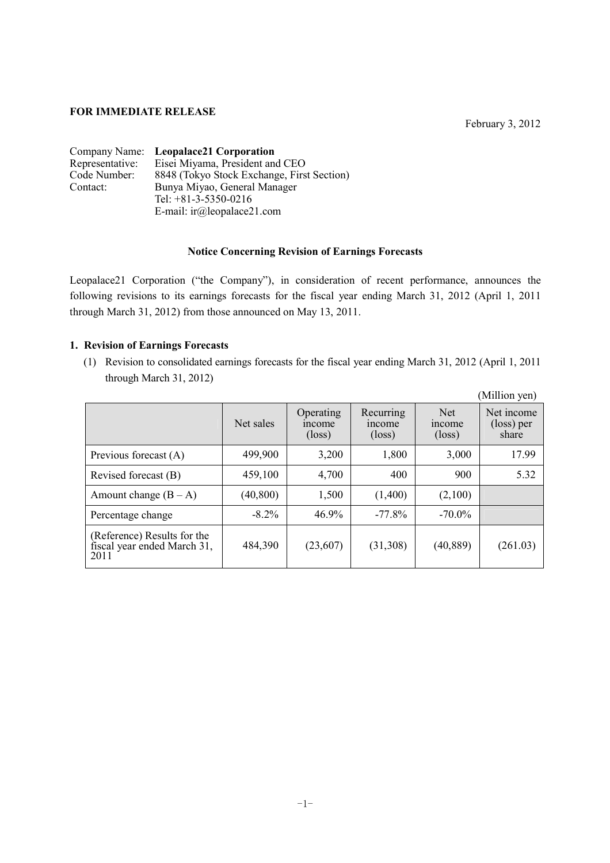## **FOR IMMEDIATE RELEASE**

February 3, 2012

|                 | Company Name: Leopalace21 Corporation      |
|-----------------|--------------------------------------------|
| Representative: | Eisei Miyama, President and CEO            |
| Code Number:    | 8848 (Tokyo Stock Exchange, First Section) |
| Contact:        | Bunya Miyao, General Manager               |
|                 | Tel: $+81-3-5350-0216$                     |
|                 | E-mail: $ir(\omega)$ leopalace21.com       |

## **Notice Concerning Revision of Earnings Forecasts**

Leopalace21 Corporation ("the Company"), in consideration of recent performance, announces the following revisions to its earnings forecasts for the fiscal year ending March 31, 2012 (April 1, 2011 through March 31, 2012) from those announced on May 13, 2011.

## **1. Revision of Earnings Forecasts**

(1) Revision to consolidated earnings forecasts for the fiscal year ending March 31, 2012 (April 1, 2011 through March 31, 2012)

|                                                                    |           |                                        |                                        |                                         | (Million yen)                     |
|--------------------------------------------------------------------|-----------|----------------------------------------|----------------------------------------|-----------------------------------------|-----------------------------------|
|                                                                    | Net sales | Operating<br>income<br>$(\text{loss})$ | Recurring<br>income<br>$(\text{loss})$ | <b>Net</b><br>income<br>$(\text{loss})$ | Net income<br>(loss) per<br>share |
| Previous forecast (A)                                              | 499,900   | 3,200                                  | 1,800                                  | 3,000                                   | 17.99                             |
| Revised forecast (B)                                               | 459,100   | 4,700                                  | 400                                    | 900                                     | 5.32                              |
| Amount change $(B - A)$                                            | (40, 800) | 1,500                                  | (1,400)                                | (2,100)                                 |                                   |
| Percentage change                                                  | $-8.2\%$  | 46.9%                                  | $-77.8%$                               | $-70.0\%$                               |                                   |
| (Reference) Results for the<br>fiscal year ended March 31,<br>2011 | 484,390   | (23,607)                               | (31,308)                               | (40, 889)                               | (261.03)                          |